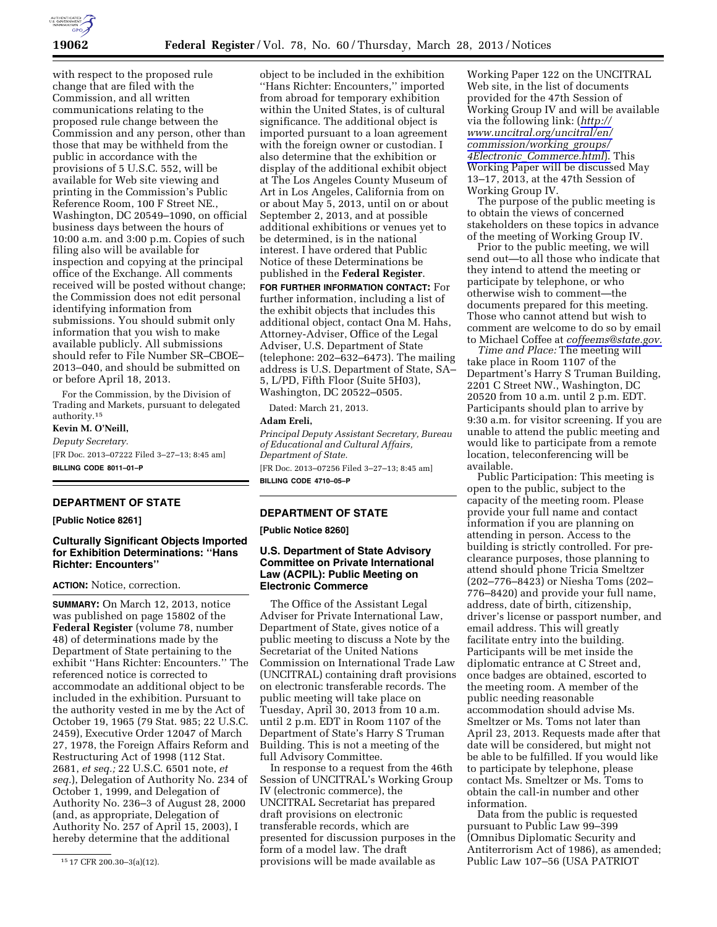

with respect to the proposed rule change that are filed with the Commission, and all written communications relating to the proposed rule change between the Commission and any person, other than those that may be withheld from the public in accordance with the provisions of 5 U.S.C. 552, will be available for Web site viewing and printing in the Commission's Public Reference Room, 100 F Street NE., Washington, DC 20549–1090, on official business days between the hours of 10:00 a.m. and 3:00 p.m. Copies of such filing also will be available for inspection and copying at the principal office of the Exchange. All comments received will be posted without change; the Commission does not edit personal identifying information from submissions. You should submit only information that you wish to make available publicly. All submissions should refer to File Number SR–CBOE– 2013–040, and should be submitted on or before April 18, 2013.

For the Commission, by the Division of Trading and Markets, pursuant to delegated authority.15

**Kevin M. O'Neill,** 

*Deputy Secretary.*  [FR Doc. 2013–07222 Filed 3–27–13; 8:45 am] **BILLING CODE 8011–01–P** 

# **DEPARTMENT OF STATE**

**[Public Notice 8261]** 

# **Culturally Significant Objects Imported for Exhibition Determinations: ''Hans Richter: Encounters''**

**ACTION:** Notice, correction.

**SUMMARY:** On March 12, 2013, notice was published on page 15802 of the **Federal Register** (volume 78, number 48) of determinations made by the Department of State pertaining to the exhibit ''Hans Richter: Encounters.'' The referenced notice is corrected to accommodate an additional object to be included in the exhibition. Pursuant to the authority vested in me by the Act of October 19, 1965 (79 Stat. 985; 22 U.S.C. 2459), Executive Order 12047 of March 27, 1978, the Foreign Affairs Reform and Restructuring Act of 1998 (112 Stat. 2681, *et seq.;* 22 U.S.C. 6501 note, *et seq.*), Delegation of Authority No. 234 of October 1, 1999, and Delegation of Authority No. 236–3 of August 28, 2000 (and, as appropriate, Delegation of Authority No. 257 of April 15, 2003), I hereby determine that the additional

object to be included in the exhibition ''Hans Richter: Encounters,'' imported from abroad for temporary exhibition within the United States, is of cultural significance. The additional object is imported pursuant to a loan agreement with the foreign owner or custodian. I also determine that the exhibition or display of the additional exhibit object at The Los Angeles County Museum of Art in Los Angeles, California from on or about May 5, 2013, until on or about September 2, 2013, and at possible additional exhibitions or venues yet to be determined, is in the national interest. I have ordered that Public Notice of these Determinations be published in the **Federal Register**. **FOR FURTHER INFORMATION CONTACT:** For further information, including a list of the exhibit objects that includes this additional object, contact Ona M. Hahs, Attorney-Adviser, Office of the Legal Adviser, U.S. Department of State (telephone: 202–632–6473). The mailing address is U.S. Department of State, SA– 5, L/PD, Fifth Floor (Suite 5H03), Washington, DC 20522–0505.

Dated: March 21, 2013.

*Principal Deputy Assistant Secretary, Bureau of Educational and Cultural Affairs, Department of State.* 

[FR Doc. 2013–07256 Filed 3–27–13; 8:45 am] **BILLING CODE 4710–05–P** 

# **DEPARTMENT OF STATE**

**[Public Notice 8260]** 

# **U.S. Department of State Advisory Committee on Private International Law (ACPIL): Public Meeting on Electronic Commerce**

The Office of the Assistant Legal Adviser for Private International Law, Department of State, gives notice of a public meeting to discuss a Note by the Secretariat of the United Nations Commission on International Trade Law (UNCITRAL) containing draft provisions on electronic transferable records. The public meeting will take place on Tuesday, April 30, 2013 from 10 a.m. until 2 p.m. EDT in Room 1107 of the Department of State's Harry S Truman Building. This is not a meeting of the full Advisory Committee.

In response to a request from the 46th Session of UNCITRAL's Working Group IV (electronic commerce), the UNCITRAL Secretariat has prepared draft provisions on electronic transferable records, which are presented for discussion purposes in the form of a model law. The draft provisions will be made available as

Working Paper 122 on the UNCITRAL Web site, in the list of documents provided for the 47th Session of Working Group IV and will be available via the following link: (*[http://](http://www.uncitral.org/uncitral/en/commission/working_groups/4Electronic_Commerce.html) [www.uncitral.org/uncitral/en/](http://www.uncitral.org/uncitral/en/commission/working_groups/4Electronic_Commerce.html) [commission/working](http://www.uncitral.org/uncitral/en/commission/working_groups/4Electronic_Commerce.html)*\_*groups/ 4Electronic*\_*[Commerce.html](http://www.uncitral.org/uncitral/en/commission/working_groups/4Electronic_Commerce.html)*). This Working Paper will be discussed May 13–17, 2013, at the 47th Session of Working Group IV.

The purpose of the public meeting is to obtain the views of concerned stakeholders on these topics in advance of the meeting of Working Group IV.

Prior to the public meeting, we will send out—to all those who indicate that they intend to attend the meeting or participate by telephone, or who otherwise wish to comment—the documents prepared for this meeting. Those who cannot attend but wish to comment are welcome to do so by email to Michael Coffee at *[coffeems@state.gov.](mailto:coffeems@state.gov)* 

*Time and Place:* The meeting will take place in Room 1107 of the Department's Harry S Truman Building, 2201 C Street NW., Washington, DC 20520 from 10 a.m. until 2 p.m. EDT. Participants should plan to arrive by 9:30 a.m. for visitor screening. If you are unable to attend the public meeting and would like to participate from a remote location, teleconferencing will be available.

Public Participation: This meeting is open to the public, subject to the capacity of the meeting room. Please provide your full name and contact information if you are planning on attending in person. Access to the building is strictly controlled. For preclearance purposes, those planning to attend should phone Tricia Smeltzer (202–776–8423) or Niesha Toms (202– 776–8420) and provide your full name, address, date of birth, citizenship, driver's license or passport number, and email address. This will greatly facilitate entry into the building. Participants will be met inside the diplomatic entrance at C Street and, once badges are obtained, escorted to the meeting room. A member of the public needing reasonable accommodation should advise Ms. Smeltzer or Ms. Toms not later than April 23, 2013. Requests made after that date will be considered, but might not be able to be fulfilled. If you would like to participate by telephone, please contact Ms. Smeltzer or Ms. Toms to obtain the call-in number and other information.

Data from the public is requested pursuant to Public Law 99–399 (Omnibus Diplomatic Security and Antiterrorism Act of 1986), as amended; Public Law 107–56 (USA PATRIOT

<sup>15</sup> 17 CFR 200.30–3(a)(12).

**Adam Ereli,**